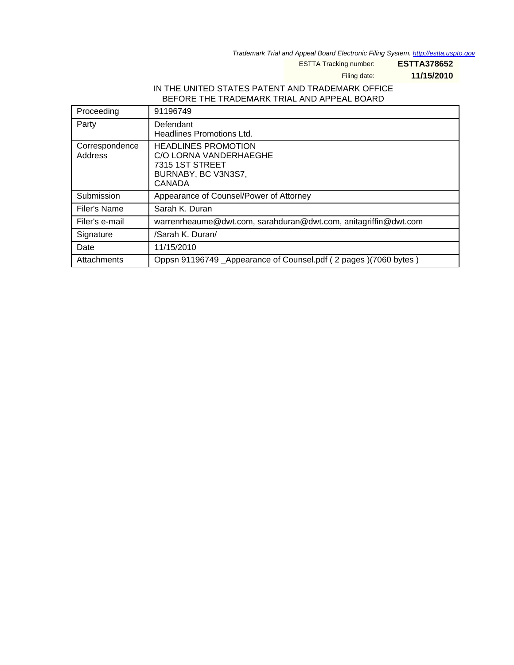Trademark Trial and Appeal Board Electronic Filing System. <http://estta.uspto.gov>

ESTTA Tracking number: **ESTTA378652**

Filing date: **11/15/2010**

## IN THE UNITED STATES PATENT AND TRADEMARK OFFICE BEFORE THE TRADEMARK TRIAL AND APPEAL BOARD

| Proceeding                | 91196749                                                                                                 |
|---------------------------|----------------------------------------------------------------------------------------------------------|
| Party                     | Defendant<br>Headlines Promotions Ltd.                                                                   |
| Correspondence<br>Address | <b>HEADLINES PROMOTION</b><br>C/O LORNA VANDERHAEGHE<br>7315 1ST STREET<br>BURNABY, BC V3N3S7,<br>CANADA |
| Submission                | Appearance of Counsel/Power of Attorney                                                                  |
| Filer's Name              | Sarah K. Duran                                                                                           |
| Filer's e-mail            | warrenrheaume@dwt.com, sarahduran@dwt.com, anitagriffin@dwt.com                                          |
| Signature                 | /Sarah K. Duran/                                                                                         |
| Date                      | 11/15/2010                                                                                               |
| Attachments               | Oppsn 91196749 _Appearance of Counsel.pdf (2 pages)(7060 bytes)                                          |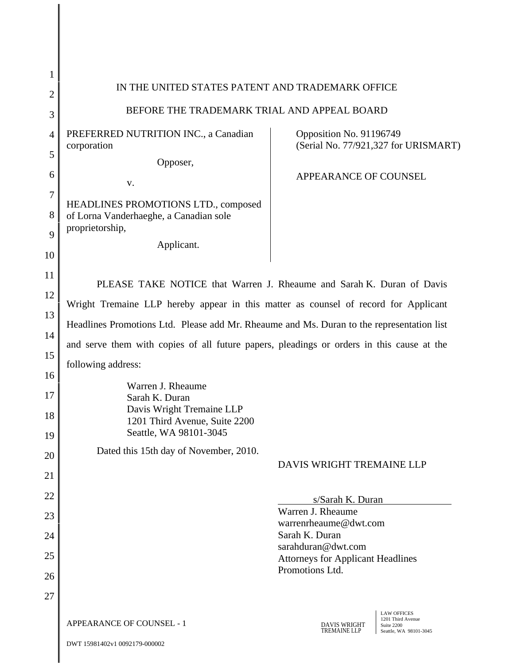| 1              |                                                                                                                                                                                                                                                                                                                                                                              |                                                                              |  |
|----------------|------------------------------------------------------------------------------------------------------------------------------------------------------------------------------------------------------------------------------------------------------------------------------------------------------------------------------------------------------------------------------|------------------------------------------------------------------------------|--|
| $\overline{2}$ | IN THE UNITED STATES PATENT AND TRADEMARK OFFICE                                                                                                                                                                                                                                                                                                                             |                                                                              |  |
| 3              | BEFORE THE TRADEMARK TRIAL AND APPEAL BOARD                                                                                                                                                                                                                                                                                                                                  |                                                                              |  |
| 4              | PREFERRED NUTRITION INC., a Canadian                                                                                                                                                                                                                                                                                                                                         | Opposition No. 91196749                                                      |  |
| 5              | corporation<br>Opposer,                                                                                                                                                                                                                                                                                                                                                      | (Serial No. 77/921,327 for URISMART)                                         |  |
| 6              |                                                                                                                                                                                                                                                                                                                                                                              | APPEARANCE OF COUNSEL                                                        |  |
| 7              | V.                                                                                                                                                                                                                                                                                                                                                                           |                                                                              |  |
| 8              | HEADLINES PROMOTIONS LTD., composed<br>of Lorna Vanderhaeghe, a Canadian sole                                                                                                                                                                                                                                                                                                |                                                                              |  |
| 9              | proprietorship,                                                                                                                                                                                                                                                                                                                                                              |                                                                              |  |
| 10             | Applicant.                                                                                                                                                                                                                                                                                                                                                                   |                                                                              |  |
| 11             |                                                                                                                                                                                                                                                                                                                                                                              |                                                                              |  |
| 12             | PLEASE TAKE NOTICE that Warren J. Rheaume and Sarah K. Duran of Davis<br>Wright Tremaine LLP hereby appear in this matter as counsel of record for Applicant<br>Headlines Promotions Ltd. Please add Mr. Rheaume and Ms. Duran to the representation list<br>and serve them with copies of all future papers, pleadings or orders in this cause at the<br>following address: |                                                                              |  |
| 13             |                                                                                                                                                                                                                                                                                                                                                                              |                                                                              |  |
| 14             |                                                                                                                                                                                                                                                                                                                                                                              |                                                                              |  |
| 15             |                                                                                                                                                                                                                                                                                                                                                                              |                                                                              |  |
| 16             |                                                                                                                                                                                                                                                                                                                                                                              |                                                                              |  |
| 17             | Warren J. Rheaume<br>Sarah K. Duran                                                                                                                                                                                                                                                                                                                                          |                                                                              |  |
| 18             | Davis Wright Tremaine LLP<br>1201 Third Avenue, Suite 2200                                                                                                                                                                                                                                                                                                                   |                                                                              |  |
| 19             | Seattle, WA 98101-3045                                                                                                                                                                                                                                                                                                                                                       |                                                                              |  |
| 20             | Dated this 15th day of November, 2010.                                                                                                                                                                                                                                                                                                                                       | DAVIS WRIGHT TREMAINE LLP                                                    |  |
| 21             |                                                                                                                                                                                                                                                                                                                                                                              |                                                                              |  |
| 22             |                                                                                                                                                                                                                                                                                                                                                                              | s/Sarah K. Duran                                                             |  |
| 23             |                                                                                                                                                                                                                                                                                                                                                                              | Warren J. Rheaume<br>warrenrheaume@dwt.com                                   |  |
| 24             |                                                                                                                                                                                                                                                                                                                                                                              | Sarah K. Duran<br>sarahduran@dwt.com                                         |  |
| 25             |                                                                                                                                                                                                                                                                                                                                                                              | <b>Attorneys for Applicant Headlines</b>                                     |  |
| 26             |                                                                                                                                                                                                                                                                                                                                                                              | Promotions Ltd.                                                              |  |
| 27             |                                                                                                                                                                                                                                                                                                                                                                              |                                                                              |  |
|                | <b>APPEARANCE OF COUNSEL - 1</b>                                                                                                                                                                                                                                                                                                                                             | <b>LAW OFFICES</b><br>1201 Third Avenue<br><b>DAVIS WRIGHT</b><br>Suite 2200 |  |
|                | DWT 15981402v1 0092179-000002                                                                                                                                                                                                                                                                                                                                                | <b>TREMAINE LLP</b><br>Seattle, WA 98101-3045                                |  |